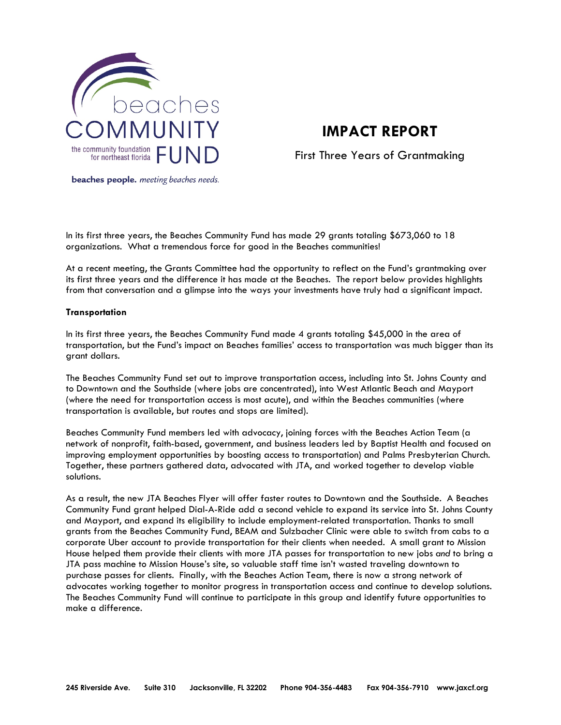

# **IMPACT REPORT**

First Three Years of Grantmaking

beaches people. meeting beaches needs.

In its first three years, the Beaches Community Fund has made 29 grants totaling \$673,060 to 18 organizations. What a tremendous force for good in the Beaches communities!

At a recent meeting, the Grants Committee had the opportunity to reflect on the Fund's grantmaking over its first three years and the difference it has made at the Beaches. The report below provides highlights from that conversation and a glimpse into the ways your investments have truly had a significant impact.

#### **Transportation**

In its first three years, the Beaches Community Fund made 4 grants totaling \$45,000 in the area of transportation, but the Fund's impact on Beaches families' access to transportation was much bigger than its grant dollars.

The Beaches Community Fund set out to improve transportation access, including into St. Johns County and to Downtown and the Southside (where jobs are concentrated), into West Atlantic Beach and Mayport (where the need for transportation access is most acute), and within the Beaches communities (where transportation is available, but routes and stops are limited).

Beaches Community Fund members led with advocacy, joining forces with the Beaches Action Team (a network of nonprofit, faith-based, government, and business leaders led by Baptist Health and focused on improving employment opportunities by boosting access to transportation) and Palms Presbyterian Church. Together, these partners gathered data, advocated with JTA, and worked together to develop viable solutions.

As a result, the new JTA Beaches Flyer will offer faster routes to Downtown and the Southside. A Beaches Community Fund grant helped Dial-A-Ride add a second vehicle to expand its service into St. Johns County and Mayport, and expand its eligibility to include employment-related transportation. Thanks to small grants from the Beaches Community Fund, BEAM and Sulzbacher Clinic were able to switch from cabs to a corporate Uber account to provide transportation for their clients when needed. A small grant to Mission House helped them provide their clients with more JTA passes for transportation to new jobs *and* to bring a JTA pass machine to Mission House's site, so valuable staff time isn't wasted traveling downtown to purchase passes for clients. Finally, with the Beaches Action Team, there is now a strong network of advocates working together to monitor progress in transportation access and continue to develop solutions. The Beaches Community Fund will continue to participate in this group and identify future opportunities to make a difference.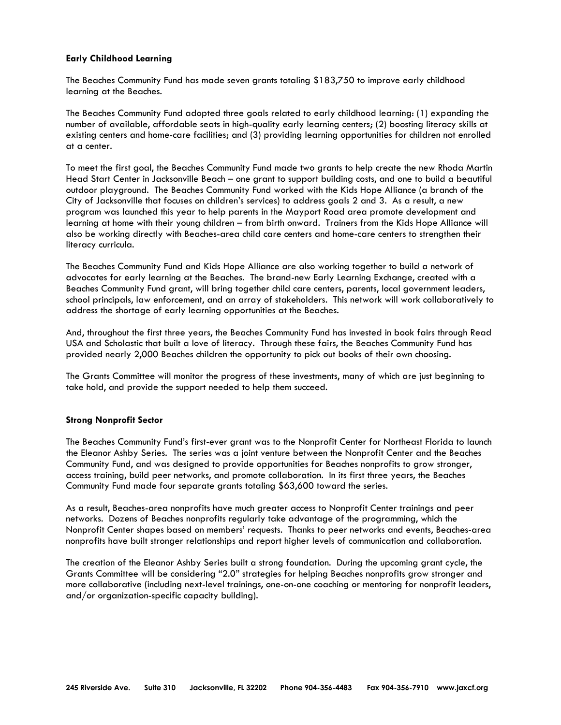### **Early Childhood Learning**

The Beaches Community Fund has made seven grants totaling \$183,750 to improve early childhood learning at the Beaches.

The Beaches Community Fund adopted three goals related to early childhood learning: (1) expanding the number of available, affordable seats in high-quality early learning centers; (2) boosting literacy skills at existing centers and home-care facilities; and (3) providing learning opportunities for children not enrolled at a center.

To meet the first goal, the Beaches Community Fund made two grants to help create the new Rhoda Martin Head Start Center in Jacksonville Beach – one grant to support building costs, and one to build a beautiful outdoor playground. The Beaches Community Fund worked with the Kids Hope Alliance (a branch of the City of Jacksonville that focuses on children's services) to address goals 2 and 3. As a result, a new program was launched this year to help parents in the Mayport Road area promote development and learning at home with their young children – from birth onward. Trainers from the Kids Hope Alliance will also be working directly with Beaches-area child care centers and home-care centers to strengthen their literacy curricula.

The Beaches Community Fund and Kids Hope Alliance are also working together to build a network of advocates for early learning at the Beaches. The brand-new Early Learning Exchange, created with a Beaches Community Fund grant, will bring together child care centers, parents, local government leaders, school principals, law enforcement, and an array of stakeholders. This network will work collaboratively to address the shortage of early learning opportunities at the Beaches.

And, throughout the first three years, the Beaches Community Fund has invested in book fairs through Read USA and Scholastic that built a love of literacy. Through these fairs, the Beaches Community Fund has provided nearly 2,000 Beaches children the opportunity to pick out books of their own choosing.

The Grants Committee will monitor the progress of these investments, many of which are just beginning to take hold, and provide the support needed to help them succeed.

#### **Strong Nonprofit Sector**

The Beaches Community Fund's first-ever grant was to the Nonprofit Center for Northeast Florida to launch the Eleanor Ashby Series. The series was a joint venture between the Nonprofit Center and the Beaches Community Fund, and was designed to provide opportunities for Beaches nonprofits to grow stronger, access training, build peer networks, and promote collaboration. In its first three years, the Beaches Community Fund made four separate grants totaling \$63,600 toward the series.

As a result, Beaches-area nonprofits have much greater access to Nonprofit Center trainings and peer networks. Dozens of Beaches nonprofits regularly take advantage of the programming, which the Nonprofit Center shapes based on members' requests. Thanks to peer networks and events, Beaches-area nonprofits have built stronger relationships and report higher levels of communication and collaboration.

The creation of the Eleanor Ashby Series built a strong foundation. During the upcoming grant cycle, the Grants Committee will be considering "2.0" strategies for helping Beaches nonprofits grow stronger and more collaborative (including next-level trainings, one-on-one coaching or mentoring for nonprofit leaders, and/or organization-specific capacity building).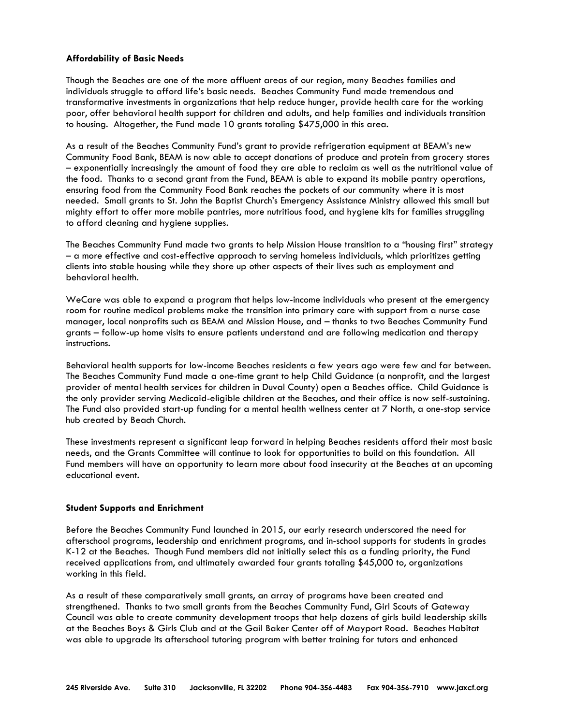## **Affordability of Basic Needs**

Though the Beaches are one of the more affluent areas of our region, many Beaches families and individuals struggle to afford life's basic needs. Beaches Community Fund made tremendous and transformative investments in organizations that help reduce hunger, provide health care for the working poor, offer behavioral health support for children and adults, and help families and individuals transition to housing. Altogether, the Fund made 10 grants totaling \$475,000 in this area.

As a result of the Beaches Community Fund's grant to provide refrigeration equipment at BEAM's new Community Food Bank, BEAM is now able to accept donations of produce and protein from grocery stores – exponentially increasingly the amount of food they are able to reclaim as well as the nutritional value of the food. Thanks to a second grant from the Fund, BEAM is able to expand its mobile pantry operations, ensuring food from the Community Food Bank reaches the pockets of our community where it is most needed. Small grants to St. John the Baptist Church's Emergency Assistance Ministry allowed this small but mighty effort to offer more mobile pantries, more nutritious food, and hygiene kits for families struggling to afford cleaning and hygiene supplies.

The Beaches Community Fund made two grants to help Mission House transition to a "housing first" strategy – a more effective and cost-effective approach to serving homeless individuals, which prioritizes getting clients into stable housing while they shore up other aspects of their lives such as employment and behavioral health.

WeCare was able to expand a program that helps low-income individuals who present at the emergency room for routine medical problems make the transition into primary care with support from a nurse case manager, local nonprofits such as BEAM and Mission House, and – thanks to two Beaches Community Fund grants – follow-up home visits to ensure patients understand and are following medication and therapy instructions.

Behavioral health supports for low-income Beaches residents a few years ago were few and far between. The Beaches Community Fund made a one-time grant to help Child Guidance (a nonprofit, and the largest provider of mental health services for children in Duval County) open a Beaches office. Child Guidance is the only provider serving Medicaid-eligible children at the Beaches, and their office is now self-sustaining. The Fund also provided start-up funding for a mental health wellness center at 7 North, a one-stop service hub created by Beach Church.

These investments represent a significant leap forward in helping Beaches residents afford their most basic needs, and the Grants Committee will continue to look for opportunities to build on this foundation. All Fund members will have an opportunity to learn more about food insecurity at the Beaches at an upcoming educational event.

## **Student Supports and Enrichment**

Before the Beaches Community Fund launched in 2015, our early research underscored the need for afterschool programs, leadership and enrichment programs, and in-school supports for students in grades K-12 at the Beaches. Though Fund members did not initially select this as a funding priority, the Fund received applications from, and ultimately awarded four grants totaling \$45,000 to, organizations working in this field.

As a result of these comparatively small grants, an array of programs have been created and strengthened. Thanks to two small grants from the Beaches Community Fund, Girl Scouts of Gateway Council was able to create community development troops that help dozens of girls build leadership skills at the Beaches Boys & Girls Club and at the Gail Baker Center off of Mayport Road. Beaches Habitat was able to upgrade its afterschool tutoring program with better training for tutors and enhanced